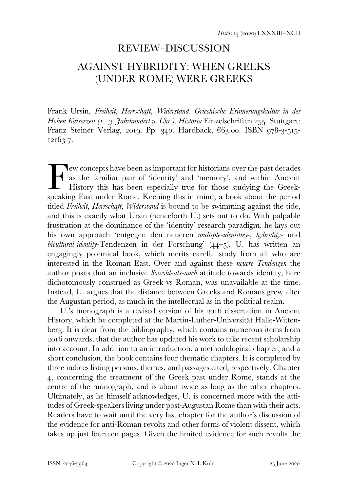## REVIEW–DISCUSSION

# AGAINST HYBRIDITY: WHEN GREEKS (UNDER ROME) WERE GREEKS

Frank Ursin, *Freiheit, Herrschaft, Widerstand. Griechische Erinnerungskultur in der Hohen Kaiserzeit (1.–3. Jahrhundert n. Chr.). Historia* Einzelschriften 255. Stuttgart: Franz Steiner Verlag, 2019. Pp. 340. Hardback,  $663.00$ . ISBN 978-3-515- $12163 - 7.$ 

ew concepts have been as important for historians over the past decades as the familiar pair of 'identity' and 'memory', and within Ancient History this has been especially true for those studying the Greek-Few concepts have been as important for historians over the past decades as the familiar pair of 'identity' and 'memory', and within Ancient History this has been especially true for those studying the Greek-speaking East titled *Freiheit, Herrschaft, Widerstand* is bound to be swimming against the tide, and this is exactly what Ursin (henceforth U.) sets out to do. With palpable frustration at the dominance of the 'identity' research paradigm, he lays out his own approach 'entgegen den neueren *multiple-identities*-, *hybridity*- und *bicultural-identity*-Tendenzen in der Forschung' (44-5). U. has written an engagingly polemical book, which merits careful study from all who are interested in the Roman East. Over and against these *neuere Tendenzen* the author posits that an inclusive *Sowohl-als-auch* attitude towards identity, here dichotomously construed as Greek vs Roman, was unavailable at the time. Instead, U. argues that the distance between Greeks and Romans grew after the Augustan period, as much in the intellectual as in the political realm.

U.'s monograph is a revised version of his 2016 dissertation in Ancient History, which he completed at the Martin-Luther-Universität Halle-Wittenberg. It is clear from the bibliography, which contains numerous items from onwards, that the author has updated his work to take recent scholarship into account. In addition to an introduction, a methodological chapter, and a short conclusion, the book contains four thematic chapters. It is completed by three indices listing persons, themes, and passages cited, respectively. Chapter , concerning the treatment of the Greek past under Rome, stands at the centre of the monograph, and is about twice as long as the other chapters. Ultimately, as he himself acknowledges, U. is concerned more with the attitudes of Greek-speakers living under post-Augustan Rome than with their acts. Readers have to wait until the very last chapter for the author's discussion of the evidence for anti-Roman revolts and other forms of violent dissent, which takes up just fourteen pages. Given the limited evidence for such revolts the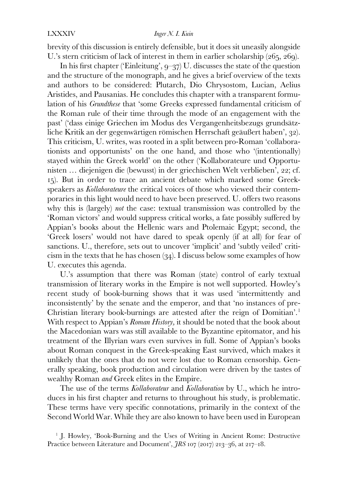#### LXXXIV *Inger N. I. Kuin*

brevity of this discussion is entirely defensible, but it does sit uneasily alongside U.'s stern criticism of lack of interest in them in earlier scholarship  $(265, 269)$ .

In his first chapter ('Einleitung',  $9-37$ ) U. discusses the state of the question and the structure of the monograph, and he gives a brief overview of the texts and authors to be considered: Plutarch, Dio Chrysostom, Lucian, Aelius Aristides, and Pausanias. He concludes this chapter with a transparent formulation of his *Grundthese* that 'some Greeks expressed fundamental criticism of the Roman rule of their time through the mode of an engagement with the past' ('dass einige Griechen im Modus des Vergangenheitsbezugs grundsätzliche Kritik an der gegenwärtigen römischen Herrschaft geäußert haben', 32). This criticism, U. writes, was rooted in a split between pro-Roman 'collaborationists and opportunists' on the one hand, and those who '(intentionally) stayed within the Greek world' on the other ('Kollaborateure und Opportunisten ... diejenigen die (bewusst) in der griechischen Welt verblieben', 22; cf. ). But in order to trace an ancient debate which marked some Greekspeakers as *Kollaborateure* the critical voices of those who viewed their contemporaries in this light would need to have been preserved. U. offers two reasons why this is (largely) *not* the case: textual transmission was controlled by the 'Roman victors' and would suppress critical works, a fate possibly suffered by Appian's books about the Hellenic wars and Ptolemaic Egypt; second, the 'Greek losers' would not have dared to speak openly (if at all) for fear of sanctions. U., therefore, sets out to uncover 'implicit' and 'subtly veiled' criticism in the texts that he has chosen  $(34)$ . I discuss below some examples of how U. executes this agenda.

U.'s assumption that there was Roman (state) control of early textual transmission of literary works in the Empire is not well supported. Howley's recent study of book-burning shows that it was used 'intermittently and inconsistently' by the senate and the emperor, and that 'no instances of pre-Christian literary book-burnings are attested after the reign of Domitian'.<sup>[1](#page-1-0)</sup> With respect to Appian's *Roman History,* it should be noted that the book about the Macedonian wars was still available to the Byzantine epitomator, and his treatment of the Illyrian wars even survives in full. Some of Appian's books about Roman conquest in the Greek-speaking East survived, which makes it unlikely that the ones that do not were lost due to Roman censorship. Generally speaking, book production and circulation were driven by the tastes of wealthy Roman *and* Greek elites in the Empire.

The use of the terms *Kollaborateur* and *Kollaboration* by U., which he introduces in his first chapter and returns to throughout his study, is problematic. These terms have very specific connotations, primarily in the context of the Second World War. While they are also known to have been used in European

<span id="page-1-0"></span><sup>&</sup>lt;sup>1</sup> J. Howley, 'Book-Burning and the Uses of Writing in Ancient Rome: Destructive Practice between Literature and Document',  $fRS$  107 (2017) 213-36, at 217-18.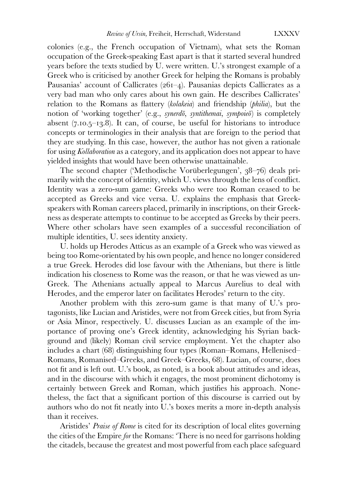colonies (e.g., the French occupation of Vietnam), what sets the Roman occupation of the Greek-speaking East apart is that it started several hundred years before the texts studied by U. were written. U.'s strongest example of a Greek who is criticised by another Greek for helping the Romans is probably Pausanias' account of Callicrates ( $261-4$ ). Pausanias depicts Callicrates as a very bad man who only cares about his own gain. He describes Callicrates' relation to the Romans as flattery (*kolakeia*) and friendship (*philia*), but the notion of 'working together' (e.g., *synerdō*, *syntithemai*, *sympoieō*) is completely absent  $(7.10.5-13.8)$ . It can, of course, be useful for historians to introduce concepts or terminologies in their analysis that are foreign to the period that they are studying. In this case, however, the author has not given a rationale for using *Kollaboration* as a category, and its application does not appear to have yielded insights that would have been otherwise unattainable.

The second chapter ('Methodische Vorüberlegungen', 38-76) deals primarily with the concept of identity, which U. views through the lens of conflict. Identity was a zero-sum game: Greeks who were too Roman ceased to be accepted as Greeks and vice versa. U. explains the emphasis that Greekspeakers with Roman careers placed, primarily in inscriptions, on their Greekness as desperate attempts to continue to be accepted as Greeks by their peers. Where other scholars have seen examples of a successful reconciliation of multiple identities, U. sees identity anxiety.

U. holds up Herodes Atticus as an example of a Greek who was viewed as being too Rome-orientated by his own people, and hence no longer considered a true Greek. Herodes did lose favour with the Athenians, but there is little indication his closeness to Rome was the reason, or that he was viewed as un-Greek. The Athenians actually appeal to Marcus Aurelius to deal with Herodes, and the emperor later on facilitates Herodes' return to the city.

Another problem with this zero-sum game is that many of U.'s protagonists, like Lucian and Aristides, were not from Greek cities, but from Syria or Asia Minor, respectively. U. discusses Lucian as an example of the importance of proving one's Greek identity, acknowledging his Syrian background and (likely) Roman civil service employment. Yet the chapter also includes a chart (68) distinguishing four types (Roman–Romans, Hellenised– Romans, Romanised–Greeks, and Greek–Greeks, 68). Lucian, of course, does not fit and is left out. U.'s book, as noted, is a book about attitudes and ideas, and in the discourse with which it engages, the most prominent dichotomy is certainly between Greek and Roman, which justifies his approach. Nonetheless, the fact that a significant portion of this discourse is carried out by authors who do not fit neatly into U.'s boxes merits a more in-depth analysis than it receives.

Aristides' *Praise of Rome* is cited for its description of local elites governing the cities of the Empire *for* the Romans: 'There is no need for garrisons holding the citadels, because the greatest and most powerful from each place safeguard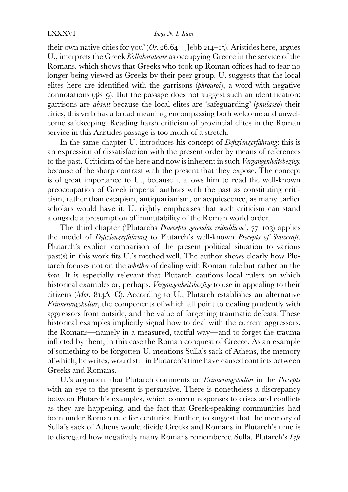#### LXXXVI *Inger N. I. Kuin*

their own native cities for you' ( $Or.$  26.64 = Jebb 214-15). Aristides here, argues U., interprets the Greek *Kollaborateure* as occupying Greece in the service of the Romans, which shows that Greeks who took up Roman offices had to fear no longer being viewed as Greeks by their peer group. U. suggests that the local elites here are identified with the garrisons (*phrouroi*), a word with negative connotations  $(48-9)$ . But the passage does not suggest such an identification: garrisons are *absent* because the local elites are 'safeguarding' (*phulassō*) their cities; this verb has a broad meaning, encompassing both welcome and unwelcome safekeeping. Reading harsh criticism of provincial elites in the Roman service in this Aristides passage is too much of a stretch.

In the same chapter U. introduces his concept of *Defizienzerfahrung*: this is an expression of dissatisfaction with the present order by means of references to the past. Criticism of the here and now is inherent in such *Vergangenheitsbezüge*  because of the sharp contrast with the present that they expose. The concept is of great importance to U., because it allows him to read the well-known preoccupation of Greek imperial authors with the past as constituting criticism, rather than escapism, antiquarianism, or acquiescence, as many earlier scholars would have it. U. rightly emphasises that such criticism can stand alongside a presumption of immutability of the Roman world order.

The third chapter ('Plutarchs *Praecepta gerendae reipublicae*', 77–103) applies the model of *Defizienzerfahrung* to Plutarch's well-known *Precepts of Statecraft*. Plutarch's explicit comparison of the present political situation to various past(s) in this work fits U.'s method well. The author shows clearly how Plutarch focuses not on the *whether* of dealing with Roman rule but rather on the *how*. It is especially relevant that Plutarch cautions local rulers on which historical examples or, perhaps, *Vergangenheitsbezüge* to use in appealing to their citizens (Mor. 814A–C). According to U., Plutarch establishes an alternative *Erinnerungskultur*, the components of which all point to dealing prudently with aggressors from outside, and the value of forgetting traumatic defeats. These historical examples implicitly signal how to deal with the current aggressors, the Romans—namely in a measured, tactful way—and to forget the trauma inflicted by them, in this case the Roman conquest of Greece. As an example of something to be forgotten U. mentions Sulla's sack of Athens, the memory of which, he writes, would still in Plutarch's time have caused conflicts between Greeks and Romans.

U.'s argument that Plutarch comments on *Erinnerungskultur* in the *Precepts* with an eye to the present is persuasive. There is nonetheless a discrepancy between Plutarch's examples, which concern responses to crises and conflicts as they are happening, and the fact that Greek-speaking communities had been under Roman rule for centuries. Further, to suggest that the memory of Sulla's sack of Athens would divide Greeks and Romans in Plutarch's time is to disregard how negatively many Romans remembered Sulla. Plutarch's *Life*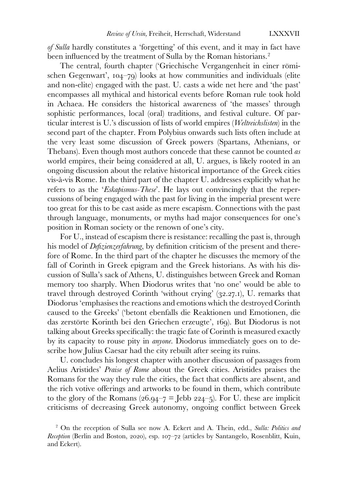*of Sulla* hardly constitutes a 'forgetting' of this event, and it may in fact have been influenced by the treatment of Sulla by the Roman historians.<sup>[2](#page-4-0)</sup>

The central, fourth chapter ('Griechische Vergangenheit in einer römischen Gegenwart',  $104-79$ ) looks at how communities and individuals (elite and non-elite) engaged with the past. U. casts a wide net here and 'the past' encompasses all mythical and historical events before Roman rule took hold in Achaea. He considers the historical awareness of 'the masses' through sophistic performances, local (oral) traditions, and festival culture. Of particular interest is U.'s discussion of lists of world empires (*Weltreichslisten*) in the second part of the chapter. From Polybius onwards such lists often include at the very least some discussion of Greek powers (Spartans, Athenians, or Thebans). Even though most authors concede that these cannot be counted *as* world empires, their being considered at all, U. argues, is likely rooted in an ongoing discussion about the relative historical importance of the Greek cities vis-à-vis Rome. In the third part of the chapter U. addresses explicitly what he refers to as the '*Eskapismus-These*'. He lays out convincingly that the repercussions of being engaged with the past for living in the imperial present were too great for this to be cast aside as mere escapism. Connections with the past through language, monuments, or myths had major consequences for one's position in Roman society or the renown of one's city.

For U., instead of escapism there is resistance: recalling the past is, through his model of *Defizienzerfahrung*, by definition criticism of the present and therefore of Rome. In the third part of the chapter he discusses the memory of the fall of Corinth in Greek epigram and the Greek historians. As with his discussion of Sulla's sack of Athens, U. distinguishes between Greek and Roman memory too sharply. When Diodorus writes that 'no one' would be able to travel through destroyed Corinth 'without crying'  $(32.27.1)$ , U. remarks that Diodorus 'emphasises the reactions and emotions which the destroyed Corinth caused to the Greeks' ('betont ebenfalls die Reaktionen und Emotionen, die das zerstörte Korinth bei den Griechen erzeugte', 169). But Diodorus is not talking about Greeks specifically: the tragic fate of Corinth is measured exactly by its capacity to rouse pity in *anyone.* Diodorus immediately goes on to describe how Julius Caesar had the city rebuilt after seeing its ruins.

U. concludes his longest chapter with another discussion of passages from Aelius Aristides' *Praise of Rome* about the Greek cities. Aristides praises the Romans for the way they rule the cities, the fact that conflicts are absent, and the rich votive offerings and artworks to be found in them, which contribute to the glory of the Romans (26.94–7 = Jebb 224–5). For U. these are implicit criticisms of decreasing Greek autonomy, ongoing conflict between Greek

<span id="page-4-0"></span><sup>2</sup> On the reception of Sulla see now A. Eckert and A. Thein, edd., *Sulla: Politics and Reception* (Berlin and Boston, 2020), esp. 107-72 (articles by Santangelo, Rosenblitt, Kuin, and Eckert).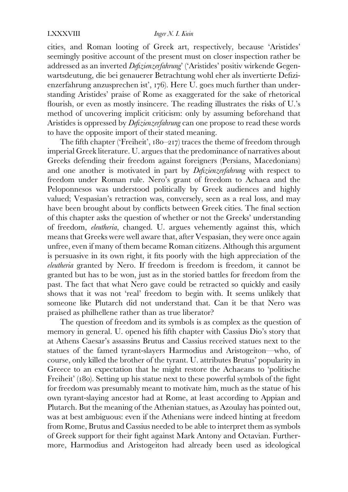#### LXXXVIII *Inger N. I. Kuin*

cities, and Roman looting of Greek art, respectively, because 'Aristides' seemingly positive account of the present must on closer inspection rather be addressed as an inverted *Defizienzerfahrung*' ('Aristides' positiv wirkende Gegenwartsdeutung, die bei genauerer Betrachtung wohl eher als invertierte Defizienzerfahrung anzusprechen ist', 176). Here U. goes much further than understanding Aristides' praise of Rome as exaggerated for the sake of rhetorical flourish, or even as mostly insincere. The reading illustrates the risks of U.'s method of uncovering implicit criticism: only by assuming beforehand that Aristides is oppressed by *Defizienzerfahrung* can one propose to read these words to have the opposite import of their stated meaning.

The fifth chapter ('Freiheit',  $180-217$ ) traces the theme of freedom through imperial Greek literature. U. argues that the predominance of narratives about Greeks defending their freedom against foreigners (Persians, Macedonians) and one another is motivated in part by *Defizienzerfahrung* with respect to freedom under Roman rule. Nero's grant of freedom to Achaea and the Peloponnesos was understood politically by Greek audiences and highly valued; Vespasian's retraction was, conversely, seen as a real loss, and may have been brought about by conflicts between Greek cities. The final section of this chapter asks the question of whether or not the Greeks' understanding of freedom, *eleutheria*, changed. U. argues vehemently against this, which means that Greeks were well aware that, after Vespasian, they were once again unfree, even if many of them became Roman citizens. Although this argument is persuasive in its own right, it fits poorly with the high appreciation of the *eleutheria* granted by Nero. If freedom is freedom is freedom, it cannot be granted but has to be won, just as in the storied battles for freedom from the past. The fact that what Nero gave could be retracted so quickly and easily shows that it was not 'real' freedom to begin with. It seems unlikely that someone like Plutarch did not understand that. Can it be that Nero was praised as philhellene rather than as true liberator?

The question of freedom and its symbols is as complex as the question of memory in general. U. opened his fifth chapter with Cassius Dio's story that at Athens Caesar's assassins Brutus and Cassius received statues next to the statues of the famed tyrant-slayers Harmodius and Aristogeiton—who, of course, only killed the brother of the tyrant. U. attributes Brutus' popularity in Greece to an expectation that he might restore the Achaeans to 'politische Freiheit' (180). Setting up his statue next to these powerful symbols of the fight for freedom was presumably meant to motivate him, much as the statue of his own tyrant-slaying ancestor had at Rome, at least according to Appian and Plutarch. But the meaning of the Athenian statues, as Azoulay has pointed out, was at best ambiguous: even if the Athenians were indeed hinting at freedom from Rome, Brutus and Cassius needed to be able to interpret them as symbols of Greek support for their fight against Mark Antony and Octavian. Furthermore, Harmodius and Aristogeiton had already been used as ideological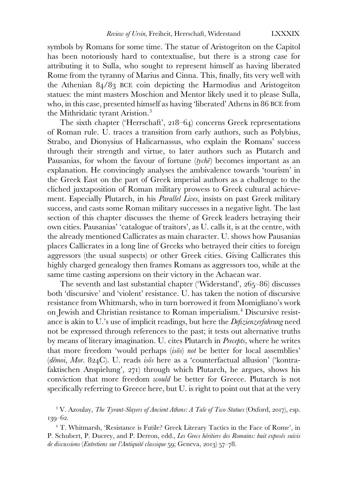symbols by Romans for some time. The statue of Aristogeiton on the Capitol has been notoriously hard to contextualise, but there is a strong case for attributing it to Sulla, who sought to represent himself as having liberated Rome from the tyranny of Marius and Cinna. This, finally, fits very well with the Athenian  $84/83$  BCE coin depicting the Harmodius and Aristogeiton statues: the mint masters Moschion and Mentor likely used it to please Sulla, who, in this case, presented himself as having 'liberated' Athens in 86 BCE from the Mithridatic tyrant Aristion.[3](#page-6-0)

The sixth chapter ('Herrschaft',  $218-64$ ) concerns Greek representations of Roman rule. U. traces a transition from early authors, such as Polybius, Strabo, and Dionysius of Halicarnassus, who explain the Romans' success through their strength and virtue, to later authors such as Plutarch and Pausanias, for whom the favour of fortune (*tychē*) becomes important as an explanation. He convincingly analyses the ambivalence towards 'tourism' in the Greek East on the part of Greek imperial authors as a challenge to the cliched juxtaposition of Roman military prowess to Greek cultural achievement. Especially Plutarch, in his *Parallel Lives*, insists on past Greek military success, and casts some Roman military successes in a negative light. The last section of this chapter discusses the theme of Greek leaders betraying their own cities. Pausanias' 'catalogue of traitors', as U. calls it, is at the centre, with the already mentioned Callicrates as main character. U. shows how Pausanias places Callicrates in a long line of Greeks who betrayed their cities to foreign aggressors (the usual suspects) or other Greek cities. Giving Callicrates this highly charged genealogy then frames Romans as aggressors too, while at the same time casting aspersions on their victory in the Achaean war.

The seventh and last substantial chapter ('Widerstand',  $265-86$ ) discusses both 'discursive' and 'violent' resistance. U. has taken the notion of discursive resistance from Whitmarsh, who in turn borrowed it from Momigliano's work on Jewish and Christian resistance to Roman imperialism.[4](#page-6-1) Discursive resistance is akin to U.'s use of implicit readings, but here the *Defizienzerfahrung* need not be expressed through references to the past; it tests out alternative truths by means of literary imagination. U. cites Plutarch in *Precepts*, where he writes that more freedom 'would perhaps (*isōs*) *not* be better for local assemblies' (dēmoi, Mor. 824C). U. reads *isos* here as a 'counterfactual allusion' ('kontrafaktischen Anspielung', 271) through which Plutarch, he argues, shows his conviction that more freedom *would* be better for Greece. Plutarch is not specifically referring to Greece here, but U. is right to point out that at the very

<span id="page-6-0"></span><sup>3</sup> V. Azoulay, *The Tyrant-Slayers of Ancient Athens: A Tale of Two Statues* (Oxford, 2017), esp.  $139 - 62.$ 

<span id="page-6-1"></span><sup>4</sup> T. Whitmarsh, 'Resistance is Futile? Greek Literary Tactics in the Face of Rome', in P. Schubert, P. Ducrey, and P. Derron, edd., *Les Grecs héritiers des Romains: huit exposés suivis de discussions* (*Entretiens sur l'Antiquité classique* 59; Geneva, 2013) 57-78.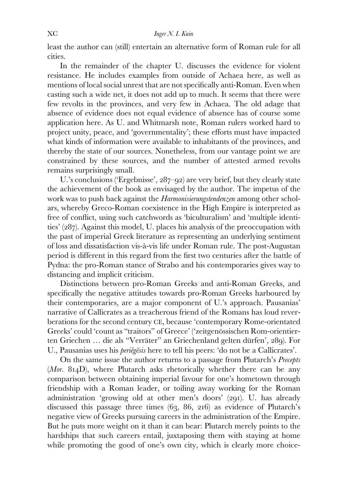least the author can (still) entertain an alternative form of Roman rule for all cities.

In the remainder of the chapter U. discusses the evidence for violent resistance. He includes examples from outside of Achaea here, as well as mentions of local social unrest that are not specifically anti-Roman. Even when casting such a wide net, it does not add up to much. It seems that there were few revolts in the provinces, and very few in Achaea. The old adage that absence of evidence does not equal evidence of absence has of course some application here. As U. and Whitmarsh note, Roman rulers worked hard to project unity, peace, and 'governmentality'; these efforts must have impacted what kinds of information were available to inhabitants of the provinces, and thereby the state of our sources. Nonetheless, from our vantage point we are constrained by these sources, and the number of attested armed revolts remains surprisingly small.

U.'s conclusions ('Ergebnisse',  $287-92$ ) are very brief, but they clearly state the achievement of the book as envisaged by the author. The impetus of the work was to push back against the *Harmonisierungstendenzen* among other scholars, whereby Greco-Roman coexistence in the High Empire is interpreted as free of conflict, using such catchwords as 'biculturalism' and 'multiple identities'  $(287)$ . Against this model, U. places his analysis of the preoccupation with the past of imperial Greek literature as representing an underlying sentiment of loss and dissatisfaction vis-à-vis life under Roman rule. The post-Augustan period is different in this regard from the first two centuries after the battle of Pydna: the pro-Roman stance of Strabo and his contemporaries gives way to distancing and implicit criticism.

Distinctions between pro-Roman Greeks and anti-Roman Greeks, and specifically the negative attitudes towards pro-Roman Greeks harboured by their contemporaries, are a major component of U.'s approach. Pausanias' narrative of Callicrates as a treacherous friend of the Romans has loud reverberations for the second century CE, because 'contemporary Rome-orientated Greeks' could 'count as "traitors" of Greece' ('zeitgenössischen Rom-orientierten Griechen ... die als "Verräter" an Griechenland gelten dürfen', 289). For U., Pausanias uses his *periēgēsis* here to tell his peers: 'do not be a Callicrates'.

On the same issue the author returns to a passage from Plutarch's *Precepts*  $(Mor. 814D)$ , where Plutarch asks rhetorically whether there can be any comparison between obtaining imperial favour for one's hometown through friendship with a Roman leader, or toiling away working for the Roman administration 'growing old at other men's doors' (291). U. has already discussed this passage three times  $(63, 86, 216)$  as evidence of Plutarch's negative view of Greeks pursuing careers in the administration of the Empire. But he puts more weight on it than it can bear: Plutarch merely points to the hardships that such careers entail, juxtaposing them with staying at home while promoting the good of one's own city, which is clearly more choice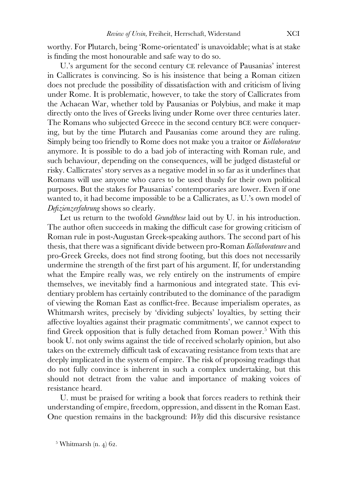worthy. For Plutarch, being 'Rome-orientated' is unavoidable; what is at stake is finding the most honourable and safe way to do so.

U.'s argument for the second century CE relevance of Pausanias' interest in Callicrates is convincing. So is his insistence that being a Roman citizen does not preclude the possibility of dissatisfaction with and criticism of living under Rome. It is problematic, however, to take the story of Callicrates from the Achaean War, whether told by Pausanias or Polybius, and make it map directly onto the lives of Greeks living under Rome over three centuries later. The Romans who subjected Greece in the second century BCE were conquering, but by the time Plutarch and Pausanias come around they are ruling. Simply being too friendly to Rome does not make you a traitor or *Kollaborateur* anymore. It is possible to do a bad job of interacting with Roman rule, and such behaviour, depending on the consequences, will be judged distasteful or risky. Callicrates' story serves as a negative model in so far as it underlines that Romans will use anyone who cares to be used thusly for their own political purposes. But the stakes for Pausanias' contemporaries are lower. Even if one wanted to, it had become impossible to be a Callicrates, as U.'s own model of *Defizienzerfahrung* shows so clearly.

Let us return to the twofold *Grundthese* laid out by U. in his introduction. The author often succeeds in making the difficult case for growing criticism of Roman rule in post-Augustan Greek-speaking authors. The second part of his thesis, that there was a significant divide between pro-Roman *Kollaborateure* and pro-Greek Greeks, does not find strong footing, but this does not necessarily undermine the strength of the first part of his argument. If, for understanding what the Empire really was, we rely entirely on the instruments of empire themselves, we inevitably find a harmonious and integrated state. This evidentiary problem has certainly contributed to the dominance of the paradigm of viewing the Roman East as conflict-free. Because imperialism operates, as Whitmarsh writes, precisely by 'dividing subjects' loyalties, by setting their affective loyalties against their pragmatic commitments', we cannot expect to find Greek opposition that is fully detached from Roman power.<sup>[5](#page-8-0)</sup> With this book U. not only swims against the tide of received scholarly opinion, but also takes on the extremely difficult task of excavating resistance from texts that are deeply implicated in the system of empire. The risk of proposing readings that do not fully convince is inherent in such a complex undertaking, but this should not detract from the value and importance of making voices of resistance heard.

U. must be praised for writing a book that forces readers to rethink their understanding of empire, freedom, oppression, and dissent in the Roman East. One question remains in the background: *Why* did this discursive resistance

<span id="page-8-0"></span> $5$  Whitmarsh (n. 4) 62.